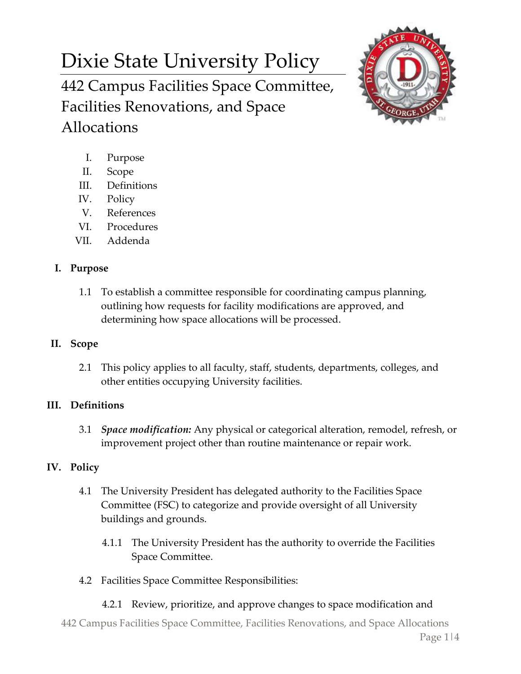# Dixie State University Policy

442 Campus Facilities Space Committee, Facilities Renovations, and Space Allocations



- I. Purpose
- II. Scope
- III. Definitions
- IV. Policy
- V. References
- VI. Procedures
- VII. Addenda

#### **I. Purpose**

1.1 To establish a committee responsible for coordinating campus planning, outlining how requests for facility modifications are approved, and determining how space allocations will be processed.

### **II. Scope**

2.1 This policy applies to all faculty, staff, students, departments, colleges, and other entities occupying University facilities.

# **III. Definitions**

3.1 *Space modification:* Any physical or categorical alteration, remodel, refresh, or improvement project other than routine maintenance or repair work.

# **IV. Policy**

- 4.1 The University President has delegated authority to the Facilities Space Committee (FSC) to categorize and provide oversight of all University buildings and grounds.
	- 4.1.1 The University President has the authority to override the Facilities Space Committee.
- 4.2 Facilities Space Committee Responsibilities:
	- 4.2.1 Review, prioritize, and approve changes to space modification and

442 Campus Facilities Space Committee, Facilities Renovations, and Space Allocations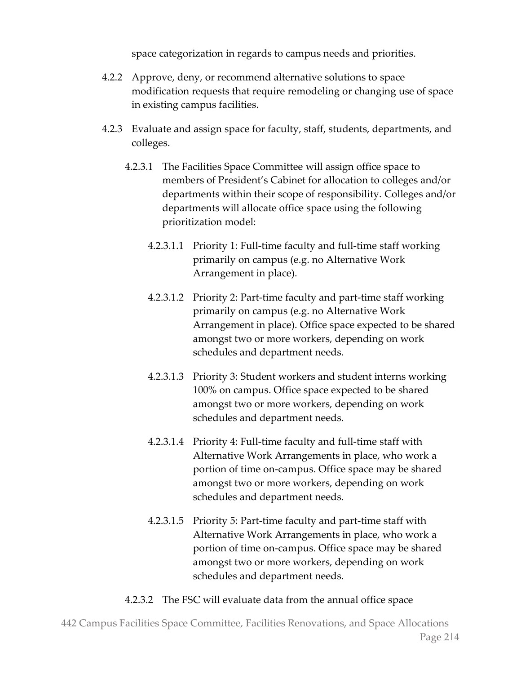space categorization in regards to campus needs and priorities.

- 4.2.2 Approve, deny, or recommend alternative solutions to space modification requests that require remodeling or changing use of space in existing campus facilities.
- 4.2.3 Evaluate and assign space for faculty, staff, students, departments, and colleges.
	- 4.2.3.1 The Facilities Space Committee will assign office space to members of President's Cabinet for allocation to colleges and/or departments within their scope of responsibility. Colleges and/or departments will allocate office space using the following prioritization model:
		- 4.2.3.1.1 Priority 1: Full-time faculty and full-time staff working primarily on campus (e.g. no Alternative Work Arrangement in place).
		- 4.2.3.1.2 Priority 2: Part-time faculty and part-time staff working primarily on campus (e.g. no Alternative Work Arrangement in place). Office space expected to be shared amongst two or more workers, depending on work schedules and department needs.
		- 4.2.3.1.3 Priority 3: Student workers and student interns working 100% on campus. Office space expected to be shared amongst two or more workers, depending on work schedules and department needs.
		- 4.2.3.1.4 Priority 4: Full-time faculty and full-time staff with Alternative Work Arrangements in place, who work a portion of time on-campus. Office space may be shared amongst two or more workers, depending on work schedules and department needs.
		- 4.2.3.1.5 Priority 5: Part-time faculty and part-time staff with Alternative Work Arrangements in place, who work a portion of time on-campus. Office space may be shared amongst two or more workers, depending on work schedules and department needs.
	- 4.2.3.2 The FSC will evaluate data from the annual office space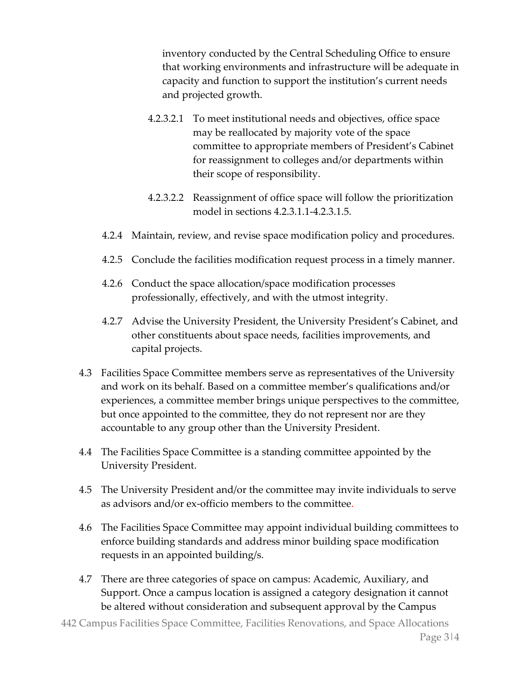inventory conducted by the Central Scheduling Office to ensure that working environments and infrastructure will be adequate in capacity and function to support the institution's current needs and projected growth.

- 4.2.3.2.1 To meet institutional needs and objectives, office space may be reallocated by majority vote of the space committee to appropriate members of President's Cabinet for reassignment to colleges and/or departments within their scope of responsibility.
- 4.2.3.2.2 Reassignment of office space will follow the prioritization model in sections 4.2.3.1.1-4.2.3.1.5.
- 4.2.4 Maintain, review, and revise space modification policy and procedures.
- 4.2.5 Conclude the facilities modification request process in a timely manner.
- 4.2.6 Conduct the space allocation/space modification processes professionally, effectively, and with the utmost integrity.
- 4.2.7 Advise the University President, the University President's Cabinet, and other constituents about space needs, facilities improvements, and capital projects.
- 4.3 Facilities Space Committee members serve as representatives of the University and work on its behalf. Based on a committee member's qualifications and/or experiences, a committee member brings unique perspectives to the committee, but once appointed to the committee, they do not represent nor are they accountable to any group other than the University President.
- 4.4 The Facilities Space Committee is a standing committee appointed by the University President.
- 4.5 The University President and/or the committee may invite individuals to serve as advisors and/or ex-officio members to the committee.
- 4.6 The Facilities Space Committee may appoint individual building committees to enforce building standards and address minor building space modification requests in an appointed building/s.
- 4.7 There are three categories of space on campus: Academic, Auxiliary, and Support. Once a campus location is assigned a category designation it cannot be altered without consideration and subsequent approval by the Campus
- 442 Campus Facilities Space Committee, Facilities Renovations, and Space Allocations